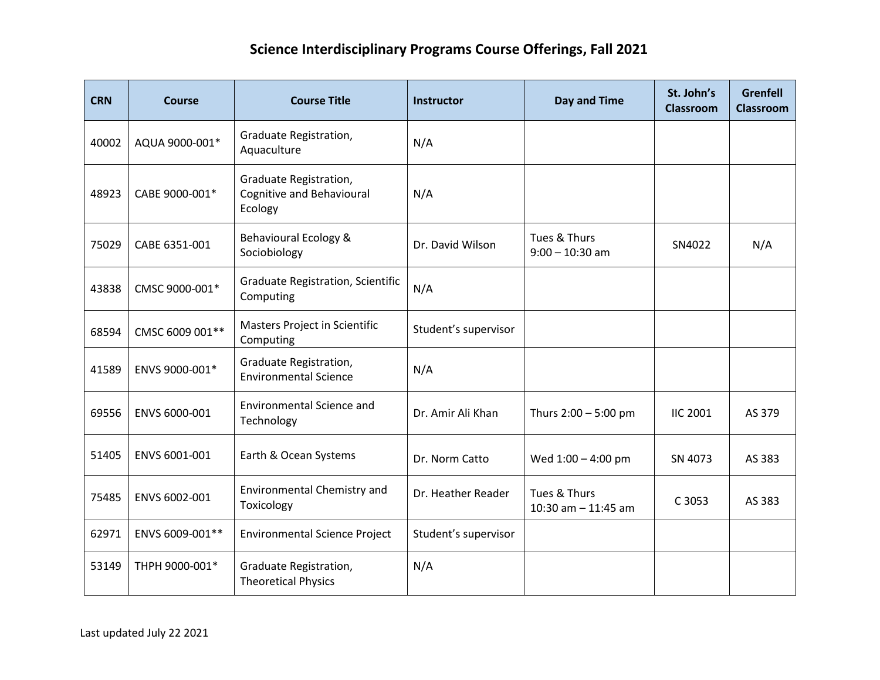## **Science Interdisciplinary Programs Course Offerings, Fall 2021**

| <b>CRN</b> | <b>Course</b>   | <b>Course Title</b>                                            | <b>Instructor</b>    | Day and Time                          | St. John's<br><b>Classroom</b> | <b>Grenfell</b><br><b>Classroom</b> |
|------------|-----------------|----------------------------------------------------------------|----------------------|---------------------------------------|--------------------------------|-------------------------------------|
| 40002      | AQUA 9000-001*  | Graduate Registration,<br>Aquaculture                          | N/A                  |                                       |                                |                                     |
| 48923      | CABE 9000-001*  | Graduate Registration,<br>Cognitive and Behavioural<br>Ecology | N/A                  |                                       |                                |                                     |
| 75029      | CABE 6351-001   | Behavioural Ecology &<br>Sociobiology                          | Dr. David Wilson     | Tues & Thurs<br>$9:00 - 10:30$ am     | SN4022                         | N/A                                 |
| 43838      | CMSC 9000-001*  | <b>Graduate Registration, Scientific</b><br>Computing          | N/A                  |                                       |                                |                                     |
| 68594      | CMSC 6009 001** | Masters Project in Scientific<br>Computing                     | Student's supervisor |                                       |                                |                                     |
| 41589      | ENVS 9000-001*  | Graduate Registration,<br><b>Environmental Science</b>         | N/A                  |                                       |                                |                                     |
| 69556      | ENVS 6000-001   | <b>Environmental Science and</b><br>Technology                 | Dr. Amir Ali Khan    | Thurs $2:00 - 5:00$ pm                | <b>IIC 2001</b>                | AS 379                              |
| 51405      | ENVS 6001-001   | Earth & Ocean Systems                                          | Dr. Norm Catto       | Wed 1:00 - 4:00 pm                    | SN 4073                        | AS 383                              |
| 75485      | ENVS 6002-001   | <b>Environmental Chemistry and</b><br>Toxicology               | Dr. Heather Reader   | Tues & Thurs<br>10:30 am $-$ 11:45 am | C 3053                         | AS 383                              |
| 62971      | ENVS 6009-001** | <b>Environmental Science Project</b>                           | Student's supervisor |                                       |                                |                                     |
| 53149      | THPH 9000-001*  | Graduate Registration,<br><b>Theoretical Physics</b>           | N/A                  |                                       |                                |                                     |